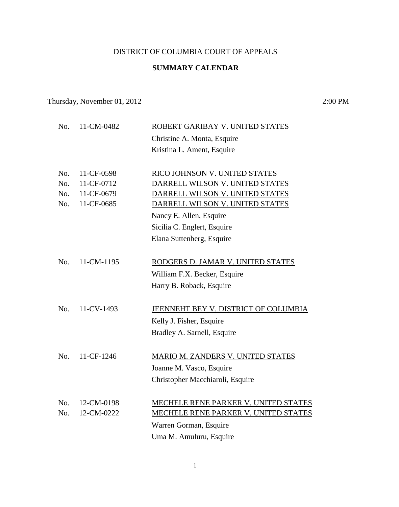### DISTRICT OF COLUMBIA COURT OF APPEALS

### **SUMMARY CALENDAR**

## Thursday, November 01, 2012 2:00 PM

No. 11-CM-0482 ROBERT GARIBAY V. UNITED STATES Christine A. Monta, Esquire Kristina L. Ament, Esquire No. 11-CF-0598 RICO JOHNSON V. UNITED STATES No. 11-CF-0712 DARRELL WILSON V. UNITED STATES No. 11-CF-0679 DARRELL WILSON V. UNITED STATES No. 11-CF-0685 DARRELL WILSON V. UNITED STATES Nancy E. Allen, Esquire Sicilia C. Englert, Esquire Elana Suttenberg, Esquire No. 11-CM-1195 RODGERS D. JAMAR V. UNITED STATES William F.X. Becker, Esquire Harry B. Roback, Esquire No. 11-CV-1493 JEENNEHT BEY V. DISTRICT OF COLUMBIA Kelly J. Fisher, Esquire Bradley A. Sarnell, Esquire No. 11-CF-1246 MARIO M. ZANDERS V. UNITED STATES Joanne M. Vasco, Esquire Christopher Macchiaroli, Esquire No. 12-CM-0198 MECHELE RENE PARKER V. UNITED STATES No. 12-CM-0222 MECHELE RENE PARKER V. UNITED STATES Warren Gorman, Esquire Uma M. Amuluru, Esquire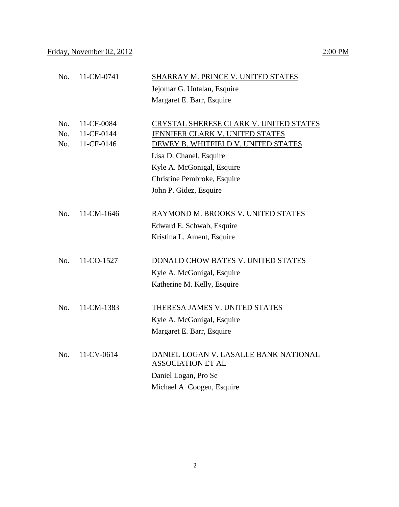# No. 11-CM-0741 SHARRAY M. PRINCE V. UNITED STATES Jejomar G. Untalan, Esquire Margaret E. Barr, Esquire No. 11-CF-0084 CRYSTAL SHERESE CLARK V. UNITED STATES No. 11-CF-0144 JENNIFER CLARK V. UNITED STATES No. 11-CF-0146 DEWEY B. WHITFIELD V. UNITED STATES Lisa D. Chanel, Esquire Kyle A. McGonigal, Esquire Christine Pembroke, Esquire John P. Gidez, Esquire No. 11-CM-1646 RAYMOND M. BROOKS V. UNITED STATES Edward E. Schwab, Esquire Kristina L. Ament, Esquire No. 11-CO-1527 DONALD CHOW BATES V. UNITED STATES Kyle A. McGonigal, Esquire Katherine M. Kelly, Esquire No. 11-CM-1383 THERESA JAMES V. UNITED STATES Kyle A. McGonigal, Esquire Margaret E. Barr, Esquire No. 11-CV-0614 DANIEL LOGAN V. LASALLE BANK NATIONAL ASSOCIATION ET AL Daniel Logan, Pro Se Michael A. Coogen, Esquire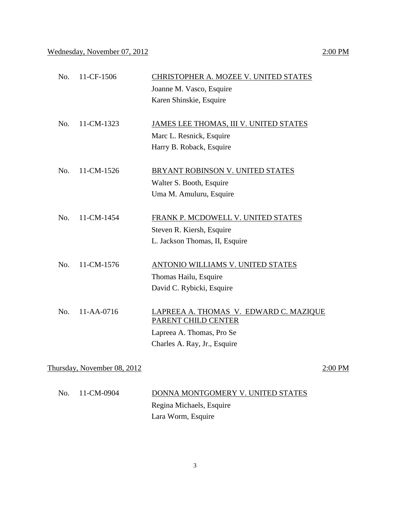| $\text{No.}$ 11-CF-1506 | <b>CHRISTOPHER A. MOZEE V. UNITED STATES</b><br>Joanne M. Vasco, Esquire<br>Karen Shinskie, Esquire |
|-------------------------|-----------------------------------------------------------------------------------------------------|
| No. 11-CM-1323          | JAMES LEE THOMAS, III V. UNITED STATES                                                              |

Marc L. Resnick, Esquire Harry B. Roback, Esquire

- No. 11-CM-1526 BRYANT ROBINSON V. UNITED STATES Walter S. Booth, Esquire Uma M. Amuluru, Esquire
- No. 11-CM-1454 FRANK P. MCDOWELL V. UNITED STATES Steven R. Kiersh, Esquire L. Jackson Thomas, II, Esquire
- No. 11-CM-1576 ANTONIO WILLIAMS V. UNITED STATES Thomas Hailu, Esquire David C. Rybicki, Esquire
- No. 11-AA-0716 LAPREEA A. THOMAS V. EDWARD C. MAZIQUE PARENT CHILD CENTER Lapreea A. Thomas, Pro Se Charles A. Ray, Jr., Esquire

Thursday, November  $08, 2012$  2:00 PM

| No. 11-CM-0904 | DONNA MONTGOMERY V. UNITED STATES |
|----------------|-----------------------------------|
|                | Regina Michaels, Esquire          |
|                | Lara Worm, Esquire                |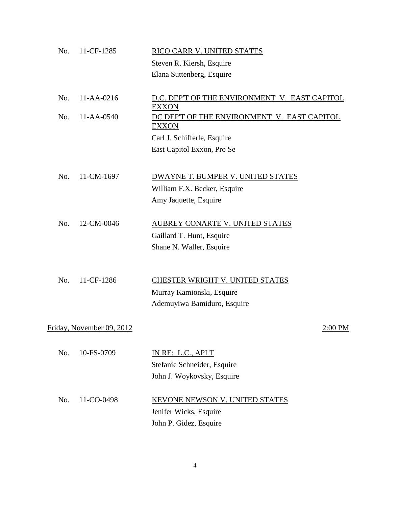| No. | 11-CF-1285                | RICO CARR V. UNITED STATES                                    |         |
|-----|---------------------------|---------------------------------------------------------------|---------|
|     |                           | Steven R. Kiersh, Esquire                                     |         |
|     |                           | Elana Suttenberg, Esquire                                     |         |
| No. | 11-AA-0216                | D.C. DEP'T OF THE ENVIRONMENT V. EAST CAPITOL<br><b>EXXON</b> |         |
| No. | 11-AA-0540                | DC DEP'T OF THE ENVIRONMENT V. EAST CAPITOL<br><b>EXXON</b>   |         |
|     |                           | Carl J. Schifferle, Esquire                                   |         |
|     |                           | East Capitol Exxon, Pro Se                                    |         |
| No. | 11-CM-1697                | DWAYNE T. BUMPER V. UNITED STATES                             |         |
|     |                           | William F.X. Becker, Esquire                                  |         |
|     |                           | Amy Jaquette, Esquire                                         |         |
| No. | 12-CM-0046                | AUBREY CONARTE V. UNITED STATES                               |         |
|     |                           | Gaillard T. Hunt, Esquire                                     |         |
|     |                           | Shane N. Waller, Esquire                                      |         |
| No. | 11-CF-1286                | CHESTER WRIGHT V. UNITED STATES                               |         |
|     |                           |                                                               |         |
|     |                           | Murray Kamionski, Esquire<br>Ademuyiwa Bamiduro, Esquire      |         |
|     |                           |                                                               |         |
|     | Friday, November 09, 2012 |                                                               | 2:00 PM |
| No. | 10-FS-0709                | IN RE: L.C., APLT                                             |         |
|     |                           | Stefanie Schneider, Esquire                                   |         |
|     |                           | John J. Woykovsky, Esquire                                    |         |
| No. | 11-CO-0498                | <b>KEVONE NEWSON V. UNITED STATES</b>                         |         |
|     |                           | Jenifer Wicks, Esquire                                        |         |
|     |                           | John P. Gidez, Esquire                                        |         |
|     |                           |                                                               |         |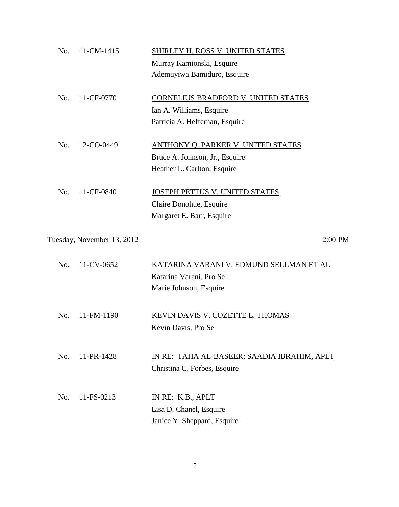| No. | 11-CM-1415                 | SHIRLEY H. ROSS V. UNITED STATES            |
|-----|----------------------------|---------------------------------------------|
|     |                            | Murray Kamionski, Esquire                   |
|     |                            | Ademuyiwa Bamiduro, Esquire                 |
| No. | 11-CF-0770                 | CORNELIUS BRADFORD V. UNITED STATES         |
|     |                            | Ian A. Williams, Esquire                    |
|     |                            | Patricia A. Heffernan, Esquire              |
| No. | 12-CO-0449                 | <b>ANTHONY Q. PARKER V. UNITED STATES</b>   |
|     |                            | Bruce A. Johnson, Jr., Esquire              |
|     |                            | Heather L. Carlton, Esquire                 |
| No. | 11-CF-0840                 | JOSEPH PETTUS V. UNITED STATES              |
|     |                            | Claire Donohue, Esquire                     |
|     |                            | Margaret E. Barr, Esquire                   |
|     | Tuesday, November 13, 2012 | 2:00 PM                                     |
| No. | 11-CV-0652                 | KATARINA VARANI V. EDMUND SELLMAN ET AL     |
|     |                            | Katarina Varani, Pro Se                     |
|     |                            | Marie Johnson, Esquire                      |
| No. | 11-FM-1190                 | KEVIN DAVIS V. COZETTE L. THOMAS            |
|     |                            | Kevin Davis, Pro Se                         |
|     |                            |                                             |
| No. | 11-PR-1428                 | IN RE: TAHA AL-BASEER; SAADIA IBRAHIM, APLT |
|     |                            | Christina C. Forbes, Esquire                |
| No. | 11-FS-0213                 | IN RE: K.B., APLT                           |
|     |                            | Lisa D. Chanel, Esquire                     |
|     |                            | Janice Y. Sheppard, Esquire                 |
|     |                            |                                             |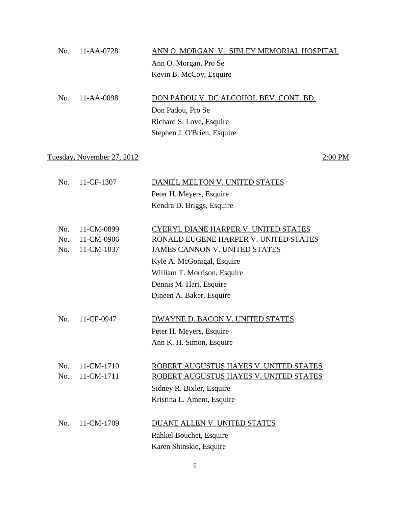| No. 11-AA-0728 | ANN O. MORGAN V. SIBLEY MEMORIAL HOSPITAL |
|----------------|-------------------------------------------|
|                | Ann O. Morgan, Pro Se                     |
|                | Kevin B. McCoy, Esquire                   |
|                |                                           |

| $\text{No.}$ 11-AA-0098 | DON PADOU V. DC ALCOHOL BEV. CONT. BD. |
|-------------------------|----------------------------------------|
|                         | Don Padou, Pro Se                      |
|                         | Richard S. Love, Esquire               |
|                         | Stephen J. O'Brien, Esquire            |

## Tuesday, November 27, 2012 2:00 PM

| 11-CF-1307 | DANIEL MELTON V. UNITED STATES              |
|------------|---------------------------------------------|
|            | Peter H. Meyers, Esquire                    |
|            | Kendra D. Briggs, Esquire                   |
|            |                                             |
| 11-CM-0899 | <b>CYERYL DIANE HARPER V. UNITED STATES</b> |
| 11-CM-0906 | RONALD EUGENE HARPER V. UNITED STATES       |
| 11-CM-1037 | <b>JAMES CANNON V. UNITED STATES</b>        |
|            | Kyle A. McGonigal, Esquire                  |
|            | William T. Morrison, Esquire                |
|            | Dennis M. Hart, Esquire                     |
|            | Dineen A. Baker, Esquire                    |
|            |                                             |
| 11-CF-0947 | DWAYNE D. BACON V. UNITED STATES            |
|            | Peter H. Meyers, Esquire                    |
|            | Ann K. H. Simon, Esquire                    |
|            |                                             |
| 11-CM-1710 | ROBERT AUGUSTUS HAYES V. UNITED STATES      |
| 11-CM-1711 | ROBERT AUGUSTUS HAYES V. UNITED STATES      |
|            | Sidney R. Bixler, Esquire                   |
|            | Kristina L. Ament, Esquire                  |
|            |                                             |
| 11-CM-1709 | DUANE ALLEN V. UNITED STATES                |
|            | Rahkel Bouchet, Esquire                     |
|            | Karen Shinskie, Esquire                     |
|            |                                             |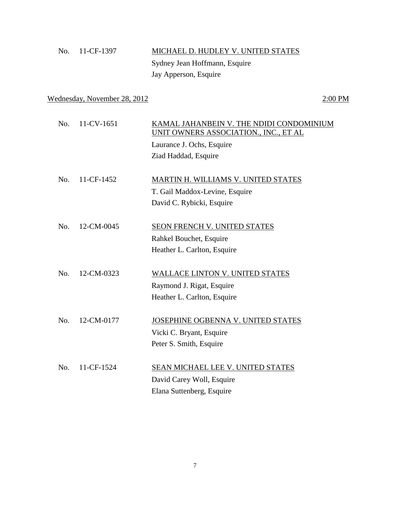| No. 11-CF-1397 | MICHAEL D. HUDLEY V. UNITED STATES |
|----------------|------------------------------------|
|                | Sydney Jean Hoffmann, Esquire      |
|                | Jay Apperson, Esquire              |

## Wednesday, November 28, 2012 2:00 PM

| No. | 11-CV-1651 | KAMAL JAHANBEIN V. THE NDIDI CONDOMINIUM<br>UNIT OWNERS ASSOCIATION., INC., ET AL |
|-----|------------|-----------------------------------------------------------------------------------|
|     |            | Laurance J. Ochs, Esquire                                                         |
|     |            | Ziad Haddad, Esquire                                                              |
|     |            |                                                                                   |
| No. | 11-CF-1452 | MARTIN H. WILLIAMS V. UNITED STATES                                               |
|     |            | T. Gail Maddox-Levine, Esquire                                                    |
|     |            | David C. Rybicki, Esquire                                                         |
|     |            |                                                                                   |
| No. | 12-CM-0045 | SEON FRENCH V. UNITED STATES                                                      |
|     |            | Rahkel Bouchet, Esquire                                                           |
|     |            | Heather L. Carlton, Esquire                                                       |
|     |            |                                                                                   |
| No. | 12-CM-0323 | <b>WALLACE LINTON V. UNITED STATES</b>                                            |
|     |            | Raymond J. Rigat, Esquire                                                         |
|     |            | Heather L. Carlton, Esquire                                                       |
| No. | 12-CM-0177 | JOSEPHINE OGBENNA V. UNITED STATES                                                |
|     |            | Vicki C. Bryant, Esquire                                                          |
|     |            | Peter S. Smith, Esquire                                                           |
|     |            |                                                                                   |
| No. | 11-CF-1524 | SEAN MICHAEL LEE V. UNITED STATES                                                 |
|     |            | David Carey Woll, Esquire                                                         |
|     |            | Elana Suttenberg, Esquire                                                         |
|     |            |                                                                                   |